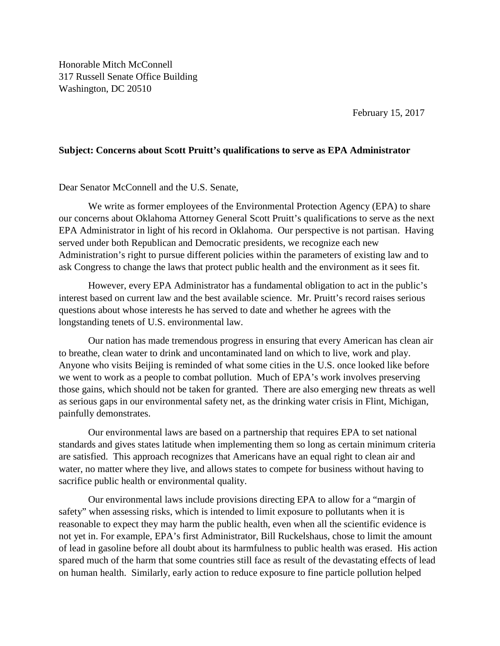Honorable Mitch McConnell 317 Russell Senate Office Building Washington, DC 20510

February 15, 2017

## **Subject: Concerns about Scott Pruitt's qualifications to serve as EPA Administrator**

## Dear Senator McConnell and the U.S. Senate,

We write as former employees of the Environmental Protection Agency (EPA) to share our concerns about Oklahoma Attorney General Scott Pruitt's qualifications to serve as the next EPA Administrator in light of his record in Oklahoma. Our perspective is not partisan. Having served under both Republican and Democratic presidents, we recognize each new Administration's right to pursue different policies within the parameters of existing law and to ask Congress to change the laws that protect public health and the environment as it sees fit.

However, every EPA Administrator has a fundamental obligation to act in the public's interest based on current law and the best available science. Mr. Pruitt's record raises serious questions about whose interests he has served to date and whether he agrees with the longstanding tenets of U.S. environmental law.

Our nation has made tremendous progress in ensuring that every American has clean air to breathe, clean water to drink and uncontaminated land on which to live, work and play. Anyone who visits Beijing is reminded of what some cities in the U.S. once looked like before we went to work as a people to combat pollution. Much of EPA's work involves preserving those gains, which should not be taken for granted. There are also emerging new threats as well as serious gaps in our environmental safety net, as the drinking water crisis in Flint, Michigan, painfully demonstrates.

Our environmental laws are based on a partnership that requires EPA to set national standards and gives states latitude when implementing them so long as certain minimum criteria are satisfied. This approach recognizes that Americans have an equal right to clean air and water, no matter where they live, and allows states to compete for business without having to sacrifice public health or environmental quality.

Our environmental laws include provisions directing EPA to allow for a "margin of safety" when assessing risks, which is intended to limit exposure to pollutants when it is reasonable to expect they may harm the public health, even when all the scientific evidence is not yet in. For example, EPA's first Administrator, Bill Ruckelshaus, chose to limit the amount of lead in gasoline before all doubt about its harmfulness to public health was erased. His action spared much of the harm that some countries still face as result of the devastating effects of lead on human health. Similarly, early action to reduce exposure to fine particle pollution helped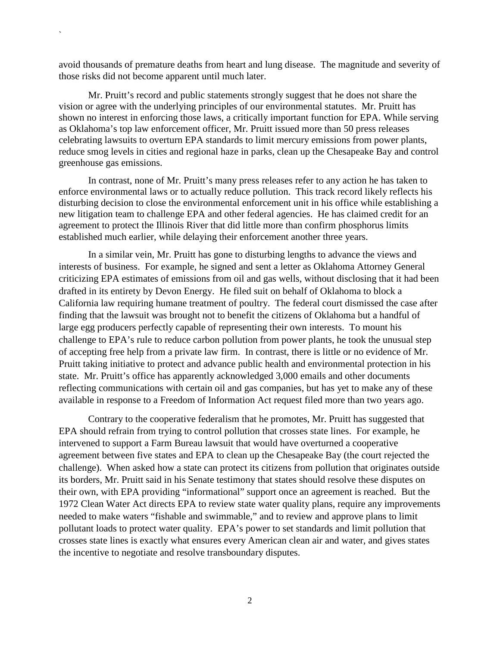avoid thousands of premature deaths from heart and lung disease. The magnitude and severity of those risks did not become apparent until much later.

`

Mr. Pruitt's record and public statements strongly suggest that he does not share the vision or agree with the underlying principles of our environmental statutes. Mr. Pruitt has shown no interest in enforcing those laws, a critically important function for EPA. While serving as Oklahoma's top law enforcement officer, Mr. Pruitt issued more than 50 press releases celebrating lawsuits to overturn EPA standards to limit mercury emissions from power plants, reduce smog levels in cities and regional haze in parks, clean up the Chesapeake Bay and control greenhouse gas emissions.

In contrast, none of Mr. Pruitt's many press releases refer to any action he has taken to enforce environmental laws or to actually reduce pollution. This track record likely reflects his disturbing decision to close the environmental enforcement unit in his office while establishing a new litigation team to challenge EPA and other federal agencies. He has claimed credit for an agreement to protect the Illinois River that did little more than confirm phosphorus limits established much earlier, while delaying their enforcement another three years.

In a similar vein, Mr. Pruitt has gone to disturbing lengths to advance the views and interests of business. For example, he signed and sent a letter as Oklahoma Attorney General criticizing EPA estimates of emissions from oil and gas wells, without disclosing that it had been drafted in its entirety by Devon Energy. He filed suit on behalf of Oklahoma to block a California law requiring humane treatment of poultry. The federal court dismissed the case after finding that the lawsuit was brought not to benefit the citizens of Oklahoma but a handful of large egg producers perfectly capable of representing their own interests. To mount his challenge to EPA's rule to reduce carbon pollution from power plants, he took the unusual step of accepting free help from a private law firm. In contrast, there is little or no evidence of Mr. Pruitt taking initiative to protect and advance public health and environmental protection in his state. Mr. Pruitt's office has apparently acknowledged 3,000 emails and other documents reflecting communications with certain oil and gas companies, but has yet to make any of these available in response to a Freedom of Information Act request filed more than two years ago.

Contrary to the cooperative federalism that he promotes, Mr. Pruitt has suggested that EPA should refrain from trying to control pollution that crosses state lines. For example, he intervened to support a Farm Bureau lawsuit that would have overturned a cooperative agreement between five states and EPA to clean up the Chesapeake Bay (the court rejected the challenge). When asked how a state can protect its citizens from pollution that originates outside its borders, Mr. Pruitt said in his Senate testimony that states should resolve these disputes on their own, with EPA providing "informational" support once an agreement is reached. But the 1972 Clean Water Act directs EPA to review state water quality plans, require any improvements needed to make waters "fishable and swimmable," and to review and approve plans to limit pollutant loads to protect water quality. EPA's power to set standards and limit pollution that crosses state lines is exactly what ensures every American clean air and water, and gives states the incentive to negotiate and resolve transboundary disputes.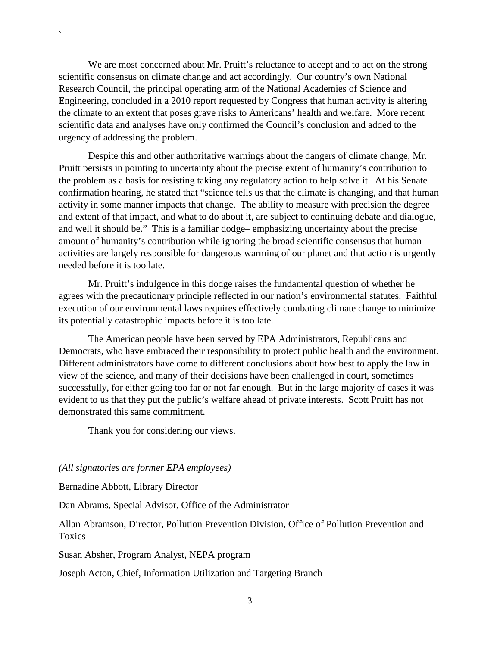We are most concerned about Mr. Pruitt's reluctance to accept and to act on the strong scientific consensus on climate change and act accordingly. Our country's own National Research Council, the principal operating arm of the National Academies of Science and Engineering, concluded in a 2010 report requested by Congress that human activity is altering the climate to an extent that poses grave risks to Americans' health and welfare. More recent scientific data and analyses have only confirmed the Council's conclusion and added to the urgency of addressing the problem.

Despite this and other authoritative warnings about the dangers of climate change, Mr. Pruitt persists in pointing to uncertainty about the precise extent of humanity's contribution to the problem as a basis for resisting taking any regulatory action to help solve it. At his Senate confirmation hearing, he stated that "science tells us that the climate is changing, and that human activity in some manner impacts that change. The ability to measure with precision the degree and extent of that impact, and what to do about it, are subject to continuing debate and dialogue, and well it should be." This is a familiar dodge– emphasizing uncertainty about the precise amount of humanity's contribution while ignoring the broad scientific consensus that human activities are largely responsible for dangerous warming of our planet and that action is urgently needed before it is too late.

Mr. Pruitt's indulgence in this dodge raises the fundamental question of whether he agrees with the precautionary principle reflected in our nation's environmental statutes. Faithful execution of our environmental laws requires effectively combating climate change to minimize its potentially catastrophic impacts before it is too late.

The American people have been served by EPA Administrators, Republicans and Democrats, who have embraced their responsibility to protect public health and the environment. Different administrators have come to different conclusions about how best to apply the law in view of the science, and many of their decisions have been challenged in court, sometimes successfully, for either going too far or not far enough. But in the large majority of cases it was evident to us that they put the public's welfare ahead of private interests. Scott Pruitt has not demonstrated this same commitment.

Thank you for considering our views.

## *(All signatories are former EPA employees)*

Bernadine Abbott, Library Director

`

Dan Abrams, Special Advisor, Office of the Administrator

Allan Abramson, Director, Pollution Prevention Division, Office of Pollution Prevention and **Toxics** 

Susan Absher, Program Analyst, NEPA program

Joseph Acton, Chief, Information Utilization and Targeting Branch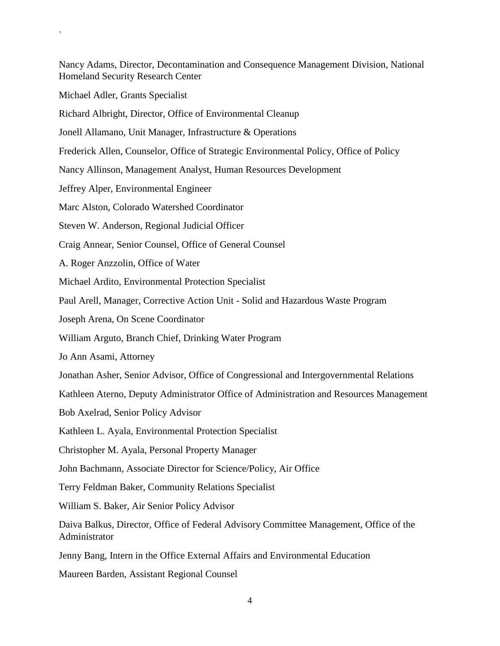Nancy Adams, Director, Decontamination and Consequence Management Division, National Homeland Security Research Center

Michael Adler, Grants Specialist

`

Richard Albright, Director, Office of Environmental Cleanup

Jonell Allamano, Unit Manager, Infrastructure & Operations

Frederick Allen, Counselor, Office of Strategic Environmental Policy, Office of Policy

Nancy Allinson, Management Analyst, Human Resources Development

Jeffrey Alper, Environmental Engineer

Marc Alston, Colorado Watershed Coordinator

Steven W. Anderson, Regional Judicial Officer

Craig Annear, Senior Counsel, Office of General Counsel

A. Roger Anzzolin, Office of Water

Michael Ardito, Environmental Protection Specialist

Paul Arell, Manager, Corrective Action Unit - Solid and Hazardous Waste Program

Joseph Arena, On Scene Coordinator

William Arguto, Branch Chief, Drinking Water Program

Jo Ann Asami, Attorney

Jonathan Asher, Senior Advisor, Office of Congressional and Intergovernmental Relations

Kathleen Aterno, Deputy Administrator Office of Administration and Resources Management

Bob Axelrad, Senior Policy Advisor

Kathleen L. Ayala, Environmental Protection Specialist

Christopher M. Ayala, Personal Property Manager

John Bachmann, Associate Director for Science/Policy, Air Office

Terry Feldman Baker, Community Relations Specialist

William S. Baker, Air Senior Policy Advisor

Daiva Balkus, Director, Office of Federal Advisory Committee Management, Office of the Administrator

Jenny Bang, Intern in the Office External Affairs and Environmental Education

Maureen Barden, Assistant Regional Counsel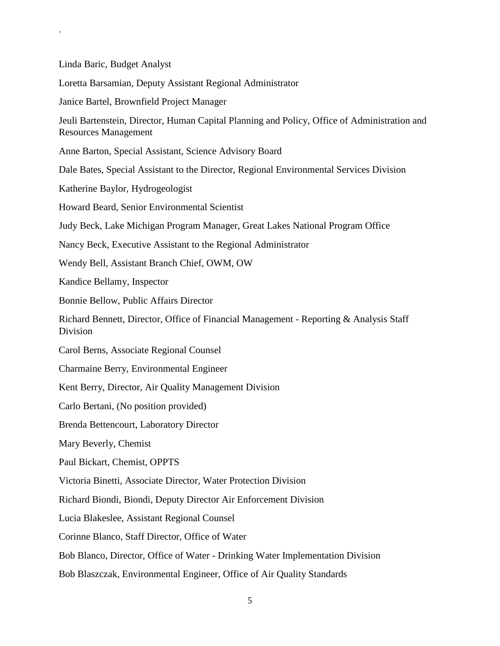Linda Baric, Budget Analyst Loretta Barsamian, Deputy Assistant Regional Administrator Janice Bartel, Brownfield Project Manager Jeuli Bartenstein, Director, Human Capital Planning and Policy, Office of Administration and Resources Management Anne Barton, Special Assistant, Science Advisory Board Dale Bates, Special Assistant to the Director, Regional Environmental Services Division Katherine Baylor, Hydrogeologist Howard Beard, Senior Environmental Scientist Judy Beck, Lake Michigan Program Manager, Great Lakes National Program Office Nancy Beck, Executive Assistant to the Regional Administrator Wendy Bell, Assistant Branch Chief, OWM, OW Kandice Bellamy, Inspector Bonnie Bellow, Public Affairs Director Richard Bennett, Director, Office of Financial Management - Reporting & Analysis Staff Division Carol Berns, Associate Regional Counsel Charmaine Berry, Environmental Engineer Kent Berry, Director, Air Quality Management Division Carlo Bertani, (No position provided) Brenda Bettencourt, Laboratory Director Mary Beverly, Chemist Paul Bickart, Chemist, OPPTS Victoria Binetti, Associate Director, Water Protection Division Richard Biondi, Biondi, Deputy Director Air Enforcement Division Lucia Blakeslee, Assistant Regional Counsel Corinne Blanco, Staff Director, Office of Water Bob Blanco, Director, Office of Water - Drinking Water Implementation Division Bob Blaszczak, Environmental Engineer, Office of Air Quality Standards

`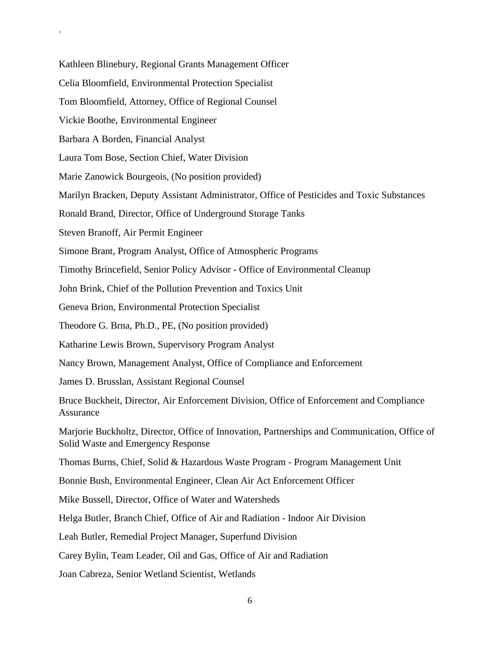Kathleen Blinebury, Regional Grants Management Officer Celia Bloomfield, Environmental Protection Specialist Tom Bloomfield, Attorney, Office of Regional Counsel Vickie Boothe, Environmental Engineer Barbara A Borden, Financial Analyst Laura Tom Bose, Section Chief, Water Division Marie Zanowick Bourgeois, (No position provided) Marilyn Bracken, Deputy Assistant Administrator, Office of Pesticides and Toxic Substances Ronald Brand, Director, Office of Underground Storage Tanks Steven Branoff, Air Permit Engineer Simone Brant, Program Analyst, Office of Atmospheric Programs Timothy Brincefield, Senior Policy Advisor - Office of Environmental Cleanup John Brink, Chief of the Pollution Prevention and Toxics Unit Geneva Brion, Environmental Protection Specialist Theodore G. Brna, Ph.D., PE, (No position provided) Katharine Lewis Brown, Supervisory Program Analyst Nancy Brown, Management Analyst, Office of Compliance and Enforcement James D. Brusslan, Assistant Regional Counsel Bruce Buckheit, Director, Air Enforcement Division, Office of Enforcement and Compliance Assurance Marjorie Buckholtz, Director, Office of Innovation, Partnerships and Communication, Office of Solid Waste and Emergency Response Thomas Burns, Chief, Solid & Hazardous Waste Program - Program Management Unit Bonnie Bush, Environmental Engineer, Clean Air Act Enforcement Officer Mike Bussell, Director, Office of Water and Watersheds Helga Butler, Branch Chief, Office of Air and Radiation - Indoor Air Division Leah Butler, Remedial Project Manager, Superfund Division Carey Bylin, Team Leader, Oil and Gas, Office of Air and Radiation Joan Cabreza, Senior Wetland Scientist, Wetlands

`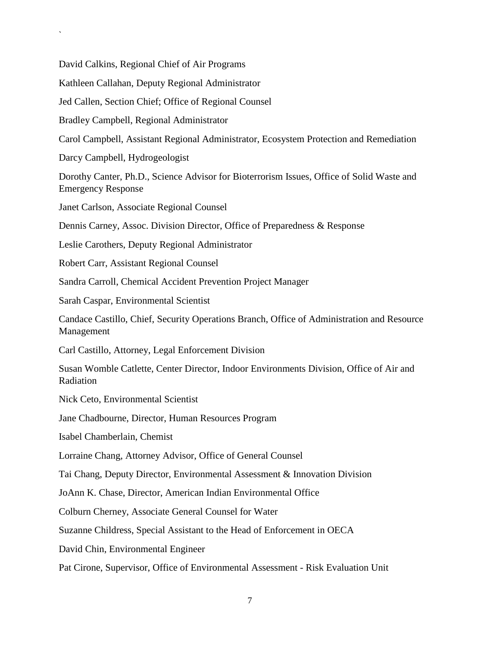David Calkins, Regional Chief of Air Programs

Kathleen Callahan, Deputy Regional Administrator

Jed Callen, Section Chief; Office of Regional Counsel

Bradley Campbell, Regional Administrator

Carol Campbell, Assistant Regional Administrator, Ecosystem Protection and Remediation

Darcy Campbell, Hydrogeologist

`

Dorothy Canter, Ph.D., Science Advisor for Bioterrorism Issues, Office of Solid Waste and Emergency Response

Janet Carlson, Associate Regional Counsel

Dennis Carney, Assoc. Division Director, Office of Preparedness & Response

Leslie Carothers, Deputy Regional Administrator

Robert Carr, Assistant Regional Counsel

Sandra Carroll, Chemical Accident Prevention Project Manager

Sarah Caspar, Environmental Scientist

Candace Castillo, Chief, Security Operations Branch, Office of Administration and Resource Management

Carl Castillo, Attorney, Legal Enforcement Division

Susan Womble Catlette, Center Director, Indoor Environments Division, Office of Air and Radiation

Nick Ceto, Environmental Scientist

Jane Chadbourne, Director, Human Resources Program

Isabel Chamberlain, Chemist

Lorraine Chang, Attorney Advisor, Office of General Counsel

Tai Chang, Deputy Director, Environmental Assessment & Innovation Division

JoAnn K. Chase, Director, American Indian Environmental Office

Colburn Cherney, Associate General Counsel for Water

Suzanne Childress, Special Assistant to the Head of Enforcement in OECA

David Chin, Environmental Engineer

Pat Cirone, Supervisor, Office of Environmental Assessment - Risk Evaluation Unit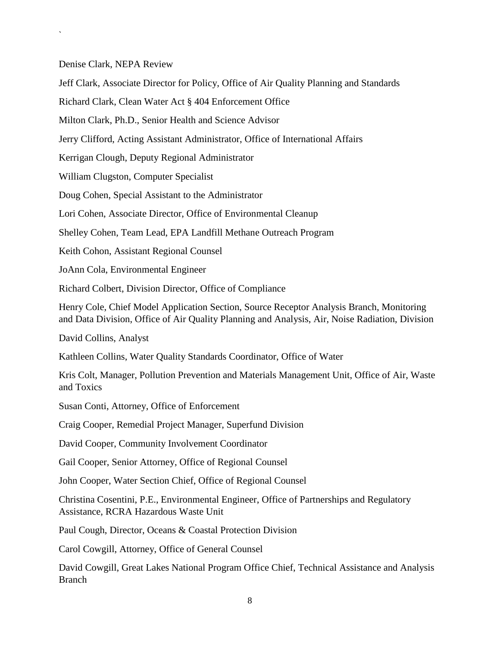Denise Clark, NEPA Review

`

Jeff Clark, Associate Director for Policy, Office of Air Quality Planning and Standards

Richard Clark, Clean Water Act § 404 Enforcement Office

Milton Clark, Ph.D., Senior Health and Science Advisor

Jerry Clifford, Acting Assistant Administrator, Office of International Affairs

Kerrigan Clough, Deputy Regional Administrator

William Clugston, Computer Specialist

Doug Cohen, Special Assistant to the Administrator

Lori Cohen, Associate Director, Office of Environmental Cleanup

Shelley Cohen, Team Lead, EPA Landfill Methane Outreach Program

Keith Cohon, Assistant Regional Counsel

JoAnn Cola, Environmental Engineer

Richard Colbert, Division Director, Office of Compliance

Henry Cole, Chief Model Application Section, Source Receptor Analysis Branch, Monitoring and Data Division, Office of Air Quality Planning and Analysis, Air, Noise Radiation, Division

David Collins, Analyst

Kathleen Collins, Water Quality Standards Coordinator, Office of Water

Kris Colt, Manager, Pollution Prevention and Materials Management Unit, Office of Air, Waste and Toxics

Susan Conti, Attorney, Office of Enforcement

Craig Cooper, Remedial Project Manager, Superfund Division

David Cooper, Community Involvement Coordinator

Gail Cooper, Senior Attorney, Office of Regional Counsel

John Cooper, Water Section Chief, Office of Regional Counsel

Christina Cosentini, P.E., Environmental Engineer, Office of Partnerships and Regulatory Assistance, RCRA Hazardous Waste Unit

Paul Cough, Director, Oceans & Coastal Protection Division

Carol Cowgill, Attorney, Office of General Counsel

David Cowgill, Great Lakes National Program Office Chief, Technical Assistance and Analysis Branch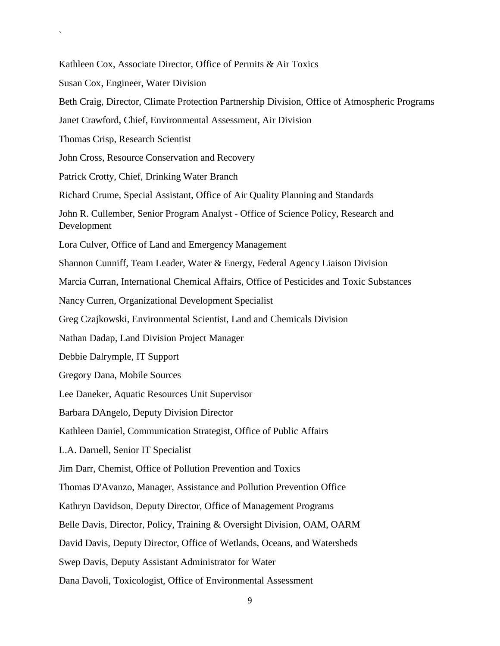Kathleen Cox, Associate Director, Office of Permits & Air Toxics Susan Cox, Engineer, Water Division Beth Craig, Director, Climate Protection Partnership Division, Office of Atmospheric Programs Janet Crawford, Chief, Environmental Assessment, Air Division Thomas Crisp, Research Scientist John Cross, Resource Conservation and Recovery Patrick Crotty, Chief, Drinking Water Branch Richard Crume, Special Assistant, Office of Air Quality Planning and Standards John R. Cullember, Senior Program Analyst - Office of Science Policy, Research and Development Lora Culver, Office of Land and Emergency Management Shannon Cunniff, Team Leader, Water & Energy, Federal Agency Liaison Division Marcia Curran, International Chemical Affairs, Office of Pesticides and Toxic Substances Nancy Curren, Organizational Development Specialist Greg Czajkowski, Environmental Scientist, Land and Chemicals Division Nathan Dadap, Land Division Project Manager Debbie Dalrymple, IT Support Gregory Dana, Mobile Sources Lee Daneker, Aquatic Resources Unit Supervisor Barbara DAngelo, Deputy Division Director Kathleen Daniel, Communication Strategist, Office of Public Affairs L.A. Darnell, Senior IT Specialist Jim Darr, Chemist, Office of Pollution Prevention and Toxics Thomas D'Avanzo, Manager, Assistance and Pollution Prevention Office Kathryn Davidson, Deputy Director, Office of Management Programs Belle Davis, Director, Policy, Training & Oversight Division, OAM, OARM David Davis, Deputy Director, Office of Wetlands, Oceans, and Watersheds Swep Davis, Deputy Assistant Administrator for Water Dana Davoli, Toxicologist, Office of Environmental Assessment

`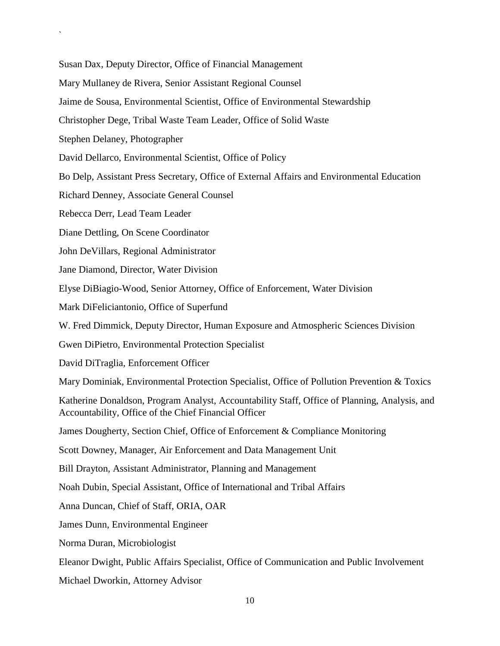Susan Dax, Deputy Director, Office of Financial Management

Mary Mullaney de Rivera, Senior Assistant Regional Counsel

Jaime de Sousa, Environmental Scientist, Office of Environmental Stewardship

Christopher Dege, Tribal Waste Team Leader, Office of Solid Waste

Stephen Delaney, Photographer

`

David Dellarco, Environmental Scientist, Office of Policy

Bo Delp, Assistant Press Secretary, Office of External Affairs and Environmental Education

Richard Denney, Associate General Counsel

Rebecca Derr, Lead Team Leader

Diane Dettling, On Scene Coordinator

John DeVillars, Regional Administrator

Jane Diamond, Director, Water Division

Elyse DiBiagio-Wood, Senior Attorney, Office of Enforcement, Water Division

Mark DiFeliciantonio, Office of Superfund

W. Fred Dimmick, Deputy Director, Human Exposure and Atmospheric Sciences Division

Gwen DiPietro, Environmental Protection Specialist

David DiTraglia, Enforcement Officer

Mary Dominiak, Environmental Protection Specialist, Office of Pollution Prevention & Toxics

Katherine Donaldson, Program Analyst, Accountability Staff, Office of Planning, Analysis, and Accountability, Office of the Chief Financial Officer

James Dougherty, Section Chief, Office of Enforcement & Compliance Monitoring

Scott Downey, Manager, Air Enforcement and Data Management Unit

Bill Drayton, Assistant Administrator, Planning and Management

Noah Dubin, Special Assistant, Office of International and Tribal Affairs

Anna Duncan, Chief of Staff, ORIA, OAR

James Dunn, Environmental Engineer

Norma Duran, Microbiologist

Eleanor Dwight, Public Affairs Specialist, Office of Communication and Public Involvement

Michael Dworkin, Attorney Advisor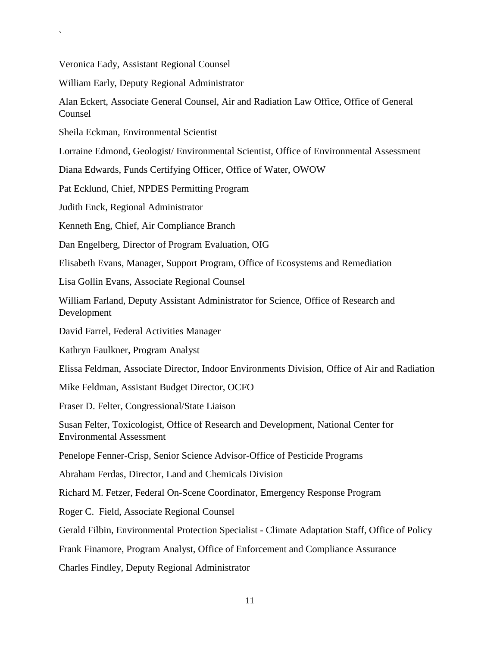Veronica Eady, Assistant Regional Counsel

`

William Early, Deputy Regional Administrator

Alan Eckert, Associate General Counsel, Air and Radiation Law Office, Office of General Counsel

Sheila Eckman, Environmental Scientist

Lorraine Edmond, Geologist/ Environmental Scientist, Office of Environmental Assessment

Diana Edwards, Funds Certifying Officer, Office of Water, OWOW

Pat Ecklund, Chief, NPDES Permitting Program

Judith Enck, Regional Administrator

Kenneth Eng, Chief, Air Compliance Branch

Dan Engelberg, Director of Program Evaluation, OIG

Elisabeth Evans, Manager, Support Program, Office of Ecosystems and Remediation

Lisa Gollin Evans, Associate Regional Counsel

William Farland, Deputy Assistant Administrator for Science, Office of Research and Development

David Farrel, Federal Activities Manager

Kathryn Faulkner, Program Analyst

Elissa Feldman, Associate Director, Indoor Environments Division, Office of Air and Radiation

Mike Feldman, Assistant Budget Director, OCFO

Fraser D. Felter, Congressional/State Liaison

Susan Felter, Toxicologist, Office of Research and Development, National Center for Environmental Assessment

Penelope Fenner-Crisp, Senior Science Advisor-Office of Pesticide Programs

Abraham Ferdas, Director, Land and Chemicals Division

Richard M. Fetzer, Federal On-Scene Coordinator, Emergency Response Program

Roger C. Field, Associate Regional Counsel

Gerald Filbin, Environmental Protection Specialist - Climate Adaptation Staff, Office of Policy

Frank Finamore, Program Analyst, Office of Enforcement and Compliance Assurance

Charles Findley, Deputy Regional Administrator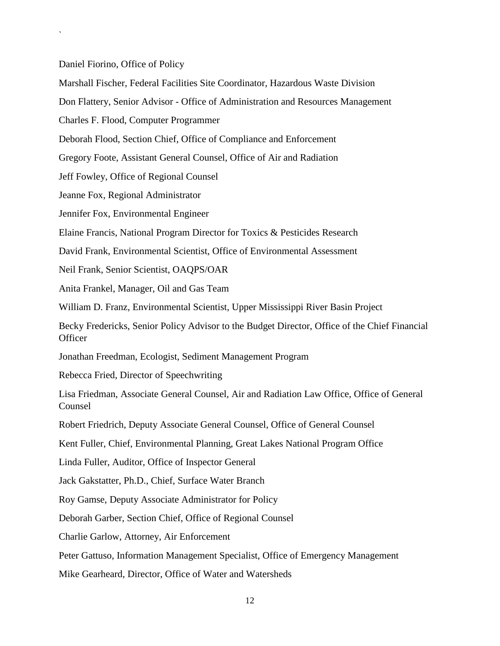Daniel Fiorino, Office of Policy

`

Marshall Fischer, Federal Facilities Site Coordinator, Hazardous Waste Division

Don Flattery, Senior Advisor - Office of Administration and Resources Management

Charles F. Flood, Computer Programmer

Deborah Flood, Section Chief, Office of Compliance and Enforcement

Gregory Foote, Assistant General Counsel, Office of Air and Radiation

Jeff Fowley, Office of Regional Counsel

Jeanne Fox, Regional Administrator

Jennifer Fox, Environmental Engineer

Elaine Francis, National Program Director for Toxics & Pesticides Research

David Frank, Environmental Scientist, Office of Environmental Assessment

Neil Frank, Senior Scientist, OAQPS/OAR

Anita Frankel, Manager, Oil and Gas Team

William D. Franz, Environmental Scientist, Upper Mississippi River Basin Project

Becky Fredericks, Senior Policy Advisor to the Budget Director, Office of the Chief Financial **Officer** 

Jonathan Freedman, Ecologist, Sediment Management Program

Rebecca Fried, Director of Speechwriting

Lisa Friedman, Associate General Counsel, Air and Radiation Law Office, Office of General Counsel

Robert Friedrich, Deputy Associate General Counsel, Office of General Counsel

Kent Fuller, Chief, Environmental Planning, Great Lakes National Program Office

Linda Fuller, Auditor, Office of Inspector General

Jack Gakstatter, Ph.D., Chief, Surface Water Branch

Roy Gamse, Deputy Associate Administrator for Policy

Deborah Garber, Section Chief, Office of Regional Counsel

Charlie Garlow, Attorney, Air Enforcement

Peter Gattuso, Information Management Specialist, Office of Emergency Management

Mike Gearheard, Director, Office of Water and Watersheds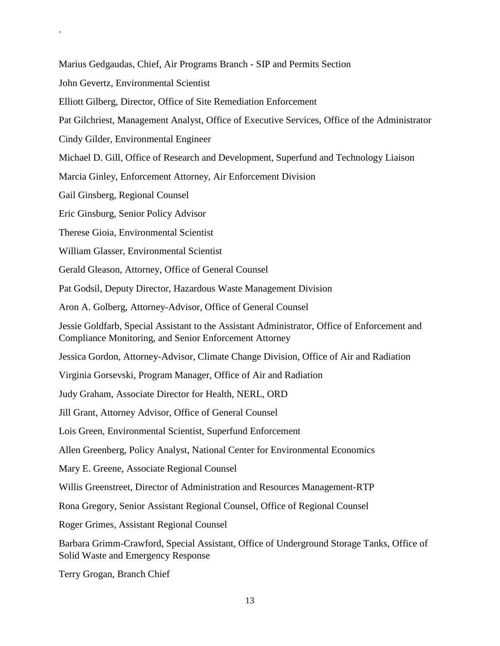Marius Gedgaudas, Chief, Air Programs Branch - SIP and Permits Section

John Gevertz, Environmental Scientist

`

Elliott Gilberg, Director, Office of Site Remediation Enforcement

Pat Gilchriest, Management Analyst, Office of Executive Services, Office of the Administrator

Cindy Gilder, Environmental Engineer

Michael D. Gill, Office of Research and Development, Superfund and Technology Liaison

Marcia Ginley, Enforcement Attorney, Air Enforcement Division

Gail Ginsberg, Regional Counsel

Eric Ginsburg, Senior Policy Advisor

Therese Gioia, Environmental Scientist

William Glasser, Environmental Scientist

Gerald Gleason, Attorney, Office of General Counsel

Pat Godsil, Deputy Director, Hazardous Waste Management Division

Aron A. Golberg, Attorney-Advisor, Office of General Counsel

Jessie Goldfarb, Special Assistant to the Assistant Administrator, Office of Enforcement and Compliance Monitoring, and Senior Enforcement Attorney

Jessica Gordon, Attorney-Advisor, Climate Change Division, Office of Air and Radiation

Virginia Gorsevski, Program Manager, Office of Air and Radiation

Judy Graham, Associate Director for Health, NERL, ORD

Jill Grant, Attorney Advisor, Office of General Counsel

Lois Green, Environmental Scientist, Superfund Enforcement

Allen Greenberg, Policy Analyst, National Center for Environmental Economics

Mary E. Greene, Associate Regional Counsel

Willis Greenstreet, Director of Administration and Resources Management-RTP

Rona Gregory, Senior Assistant Regional Counsel, Office of Regional Counsel

Roger Grimes, Assistant Regional Counsel

Barbara Grimm-Crawford, Special Assistant, Office of Underground Storage Tanks, Office of Solid Waste and Emergency Response

Terry Grogan, Branch Chief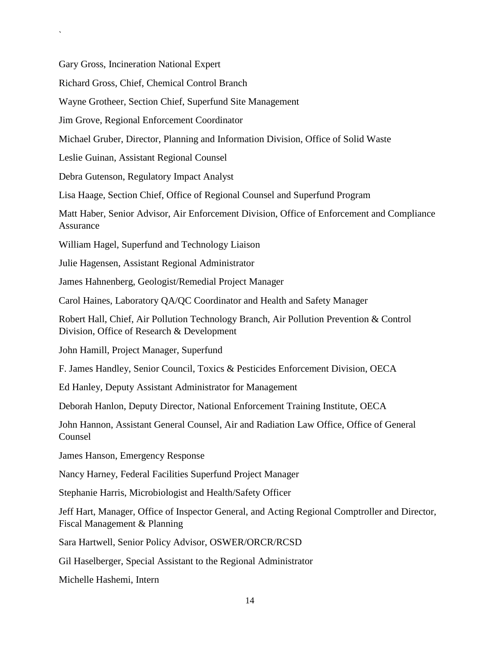Gary Gross, Incineration National Expert

`

Richard Gross, Chief, Chemical Control Branch

Wayne Grotheer, Section Chief, Superfund Site Management

Jim Grove, Regional Enforcement Coordinator

Michael Gruber, Director, Planning and Information Division, Office of Solid Waste

Leslie Guinan, Assistant Regional Counsel

Debra Gutenson, Regulatory Impact Analyst

Lisa Haage, Section Chief, Office of Regional Counsel and Superfund Program

Matt Haber, Senior Advisor, Air Enforcement Division, Office of Enforcement and Compliance Assurance

William Hagel, Superfund and Technology Liaison

Julie Hagensen, Assistant Regional Administrator

James Hahnenberg, Geologist/Remedial Project Manager

Carol Haines, Laboratory QA/QC Coordinator and Health and Safety Manager

Robert Hall, Chief, Air Pollution Technology Branch, Air Pollution Prevention & Control Division, Office of Research & Development

John Hamill, Project Manager, Superfund

F. James Handley, Senior Council, Toxics & Pesticides Enforcement Division, OECA

Ed Hanley, Deputy Assistant Administrator for Management

Deborah Hanlon, Deputy Director, National Enforcement Training Institute, OECA

John Hannon, Assistant General Counsel, Air and Radiation Law Office, Office of General Counsel

James Hanson, Emergency Response

Nancy Harney, Federal Facilities Superfund Project Manager

Stephanie Harris, Microbiologist and Health/Safety Officer

Jeff Hart, Manager, Office of Inspector General, and Acting Regional Comptroller and Director, Fiscal Management & Planning

Sara Hartwell, Senior Policy Advisor, OSWER/ORCR/RCSD

Gil Haselberger, Special Assistant to the Regional Administrator

Michelle Hashemi, Intern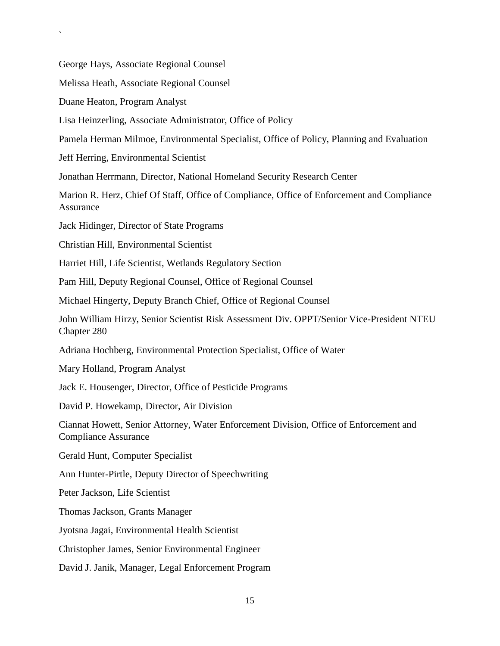George Hays, Associate Regional Counsel

Melissa Heath, Associate Regional Counsel

Duane Heaton, Program Analyst

`

Lisa Heinzerling, Associate Administrator, Office of Policy

Pamela Herman Milmoe, Environmental Specialist, Office of Policy, Planning and Evaluation

Jeff Herring, Environmental Scientist

Jonathan Herrmann, Director, National Homeland Security Research Center

Marion R. Herz, Chief Of Staff, Office of Compliance, Office of Enforcement and Compliance Assurance

Jack Hidinger, Director of State Programs

Christian Hill, Environmental Scientist

Harriet Hill, Life Scientist, Wetlands Regulatory Section

Pam Hill, Deputy Regional Counsel, Office of Regional Counsel

Michael Hingerty, Deputy Branch Chief, Office of Regional Counsel

John William Hirzy, Senior Scientist Risk Assessment Div. OPPT/Senior Vice-President NTEU Chapter 280

Adriana Hochberg, Environmental Protection Specialist, Office of Water

Mary Holland, Program Analyst

Jack E. Housenger, Director, Office of Pesticide Programs

David P. Howekamp, Director, Air Division

Ciannat Howett, Senior Attorney, Water Enforcement Division, Office of Enforcement and Compliance Assurance

Gerald Hunt, Computer Specialist

Ann Hunter-Pirtle, Deputy Director of Speechwriting

Peter Jackson, Life Scientist

Thomas Jackson, Grants Manager

Jyotsna Jagai, Environmental Health Scientist

Christopher James, Senior Environmental Engineer

David J. Janik, Manager, Legal Enforcement Program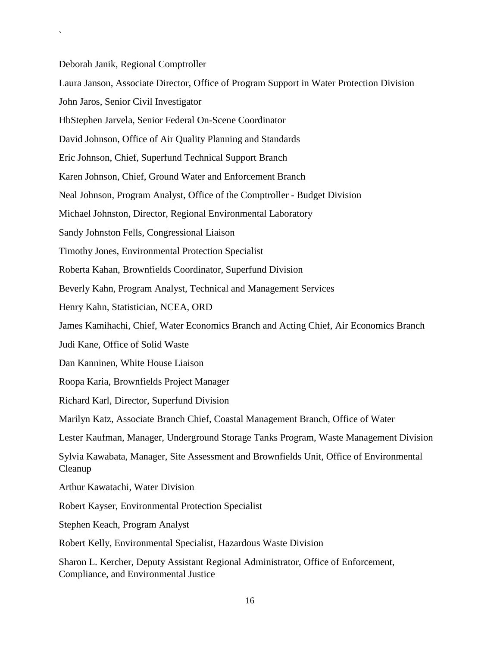Deborah Janik, Regional Comptroller

`

Laura Janson, Associate Director, Office of Program Support in Water Protection Division

John Jaros, Senior Civil Investigator

HbStephen Jarvela, Senior Federal On-Scene Coordinator

David Johnson, Office of Air Quality Planning and Standards

Eric Johnson, Chief, Superfund Technical Support Branch

Karen Johnson, Chief, Ground Water and Enforcement Branch

Neal Johnson, Program Analyst, Office of the Comptroller - Budget Division

Michael Johnston, Director, Regional Environmental Laboratory

Sandy Johnston Fells, Congressional Liaison

Timothy Jones, Environmental Protection Specialist

Roberta Kahan, Brownfields Coordinator, Superfund Division

Beverly Kahn, Program Analyst, Technical and Management Services

Henry Kahn, Statistician, NCEA, ORD

James Kamihachi, Chief, Water Economics Branch and Acting Chief, Air Economics Branch

Judi Kane, Office of Solid Waste

Dan Kanninen, White House Liaison

Roopa Karia, Brownfields Project Manager

Richard Karl, Director, Superfund Division

Marilyn Katz, Associate Branch Chief, Coastal Management Branch, Office of Water

Lester Kaufman, Manager, Underground Storage Tanks Program, Waste Management Division

Sylvia Kawabata, Manager, Site Assessment and Brownfields Unit, Office of Environmental Cleanup

Arthur Kawatachi, Water Division

Robert Kayser, Environmental Protection Specialist

Stephen Keach, Program Analyst

Robert Kelly, Environmental Specialist, Hazardous Waste Division

Sharon L. Kercher, Deputy Assistant Regional Administrator, Office of Enforcement, Compliance, and Environmental Justice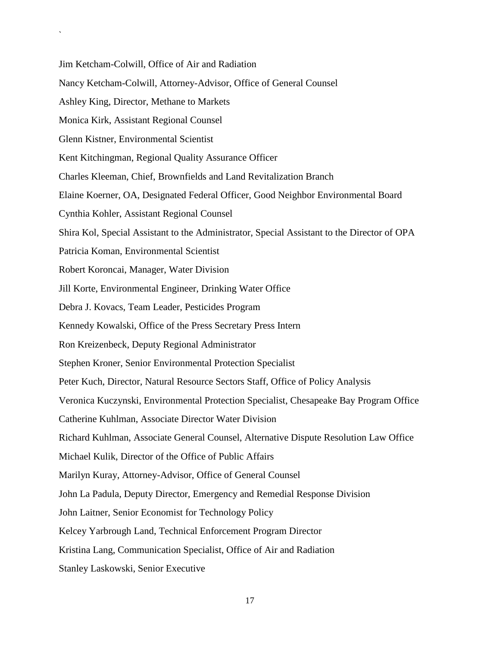Jim Ketcham-Colwill, Office of Air and Radiation

- Nancy Ketcham-Colwill, Attorney-Advisor, Office of General Counsel
- Ashley King, Director, Methane to Markets
- Monica Kirk, Assistant Regional Counsel
- Glenn Kistner, Environmental Scientist

`

- Kent Kitchingman, Regional Quality Assurance Officer
- Charles Kleeman, Chief, Brownfields and Land Revitalization Branch
- Elaine Koerner, OA, Designated Federal Officer, Good Neighbor Environmental Board
- Cynthia Kohler, Assistant Regional Counsel
- Shira Kol, Special Assistant to the Administrator, Special Assistant to the Director of OPA
- Patricia Koman, Environmental Scientist
- Robert Koroncai, Manager, Water Division
- Jill Korte, Environmental Engineer, Drinking Water Office
- Debra J. Kovacs, Team Leader, Pesticides Program
- Kennedy Kowalski, Office of the Press Secretary Press Intern
- Ron Kreizenbeck, Deputy Regional Administrator
- Stephen Kroner, Senior Environmental Protection Specialist
- Peter Kuch, Director, Natural Resource Sectors Staff, Office of Policy Analysis
- Veronica Kuczynski, Environmental Protection Specialist, Chesapeake Bay Program Office
- Catherine Kuhlman, Associate Director Water Division
- Richard Kuhlman, Associate General Counsel, Alternative Dispute Resolution Law Office
- Michael Kulik, Director of the Office of Public Affairs
- Marilyn Kuray, Attorney-Advisor, Office of General Counsel
- John La Padula, Deputy Director, Emergency and Remedial Response Division
- John Laitner, Senior Economist for Technology Policy
- Kelcey Yarbrough Land, Technical Enforcement Program Director
- Kristina Lang, Communication Specialist, Office of Air and Radiation
- Stanley Laskowski, Senior Executive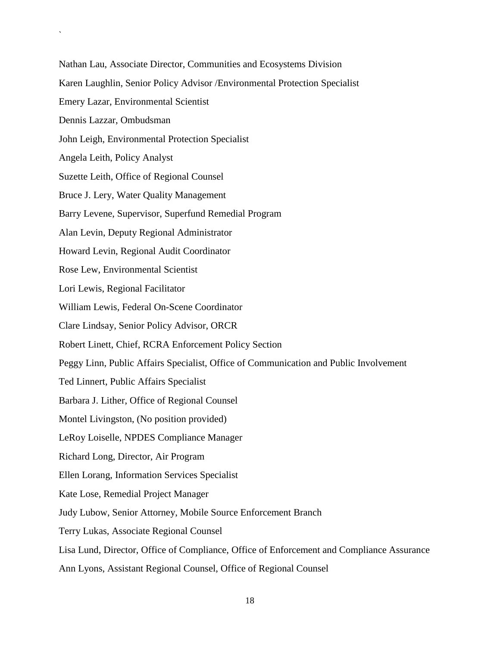Nathan Lau, Associate Director, Communities and Ecosystems Division Karen Laughlin, Senior Policy Advisor /Environmental Protection Specialist Emery Lazar, Environmental Scientist Dennis Lazzar, Ombudsman John Leigh, Environmental Protection Specialist Angela Leith, Policy Analyst Suzette Leith, Office of Regional Counsel Bruce J. Lery, Water Quality Management Barry Levene, Supervisor, Superfund Remedial Program Alan Levin, Deputy Regional Administrator Howard Levin, Regional Audit Coordinator Rose Lew, Environmental Scientist Lori Lewis, Regional Facilitator William Lewis, Federal On-Scene Coordinator Clare Lindsay, Senior Policy Advisor, ORCR Robert Linett, Chief, RCRA Enforcement Policy Section Peggy Linn, Public Affairs Specialist, Office of Communication and Public Involvement Ted Linnert, Public Affairs Specialist Barbara J. Lither, Office of Regional Counsel Montel Livingston, (No position provided) LeRoy Loiselle, NPDES Compliance Manager Richard Long, Director, Air Program Ellen Lorang, Information Services Specialist Kate Lose, Remedial Project Manager Judy Lubow, Senior Attorney, Mobile Source Enforcement Branch Terry Lukas, Associate Regional Counsel Lisa Lund, Director, Office of Compliance, Office of Enforcement and Compliance Assurance Ann Lyons, Assistant Regional Counsel, Office of Regional Counsel

`

18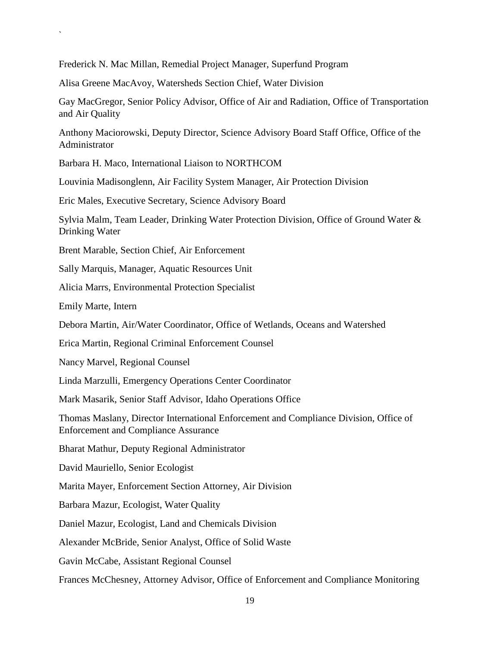Frederick N. Mac Millan, Remedial Project Manager, Superfund Program

Alisa Greene MacAvoy, Watersheds Section Chief, Water Division

Gay MacGregor, Senior Policy Advisor, Office of Air and Radiation, Office of Transportation and Air Quality

Anthony Maciorowski, Deputy Director, Science Advisory Board Staff Office, Office of the Administrator

Barbara H. Maco, International Liaison to NORTHCOM

Louvinia Madisonglenn, Air Facility System Manager, Air Protection Division

Eric Males, Executive Secretary, Science Advisory Board

Sylvia Malm, Team Leader, Drinking Water Protection Division, Office of Ground Water & Drinking Water

Brent Marable, Section Chief, Air Enforcement

Sally Marquis, Manager, Aquatic Resources Unit

Alicia Marrs, Environmental Protection Specialist

Emily Marte, Intern

`

Debora Martin, Air/Water Coordinator, Office of Wetlands, Oceans and Watershed

Erica Martin, Regional Criminal Enforcement Counsel

Nancy Marvel, Regional Counsel

Linda Marzulli, Emergency Operations Center Coordinator

Mark Masarik, Senior Staff Advisor, Idaho Operations Office

Thomas Maslany, Director International Enforcement and Compliance Division, Office of Enforcement and Compliance Assurance

Bharat Mathur, Deputy Regional Administrator

David Mauriello, Senior Ecologist

Marita Mayer, Enforcement Section Attorney, Air Division

Barbara Mazur, Ecologist, Water Quality

Daniel Mazur, Ecologist, Land and Chemicals Division

Alexander McBride, Senior Analyst, Office of Solid Waste

Gavin McCabe, Assistant Regional Counsel

Frances McChesney, Attorney Advisor, Office of Enforcement and Compliance Monitoring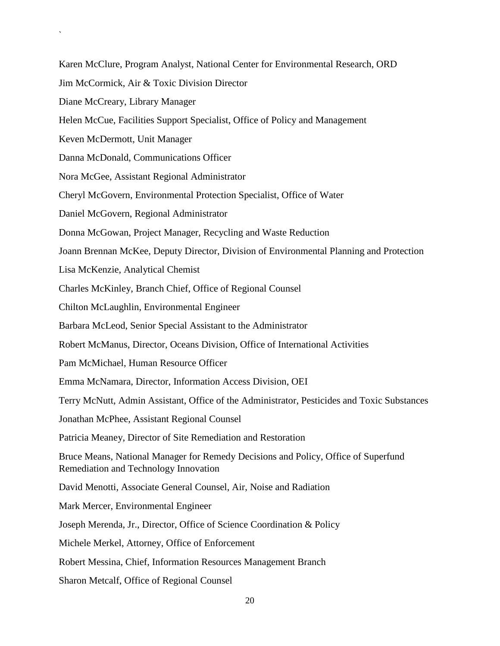Karen McClure, Program Analyst, National Center for Environmental Research, ORD Jim McCormick, Air & Toxic Division Director Diane McCreary, Library Manager Helen McCue, Facilities Support Specialist, Office of Policy and Management Keven McDermott, Unit Manager Danna McDonald, Communications Officer Nora McGee, Assistant Regional Administrator Cheryl McGovern, Environmental Protection Specialist, Office of Water Daniel McGovern, Regional Administrator Donna McGowan, Project Manager, Recycling and Waste Reduction Joann Brennan McKee, Deputy Director, Division of Environmental Planning and Protection Lisa McKenzie, Analytical Chemist Charles McKinley, Branch Chief, Office of Regional Counsel Chilton McLaughlin, Environmental Engineer Barbara McLeod, Senior Special Assistant to the Administrator Robert McManus, Director, Oceans Division, Office of International Activities Pam McMichael, Human Resource Officer Emma McNamara, Director, Information Access Division, OEI Terry McNutt, Admin Assistant, Office of the Administrator, Pesticides and Toxic Substances Jonathan McPhee, Assistant Regional Counsel Patricia Meaney, Director of Site Remediation and Restoration Bruce Means, National Manager for Remedy Decisions and Policy, Office of Superfund Remediation and Technology Innovation David Menotti, Associate General Counsel, Air, Noise and Radiation Mark Mercer, Environmental Engineer Joseph Merenda, Jr., Director, Office of Science Coordination & Policy Michele Merkel, Attorney, Office of Enforcement Robert Messina, Chief, Information Resources Management Branch Sharon Metcalf, Office of Regional Counsel

`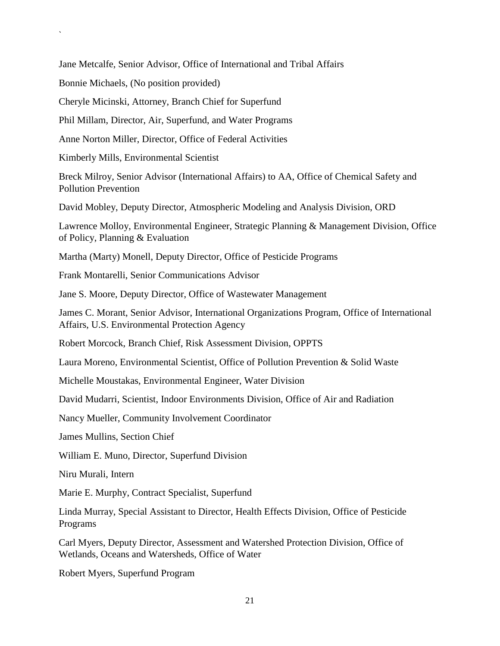Jane Metcalfe, Senior Advisor, Office of International and Tribal Affairs

Bonnie Michaels, (No position provided)

`

Cheryle Micinski, Attorney, Branch Chief for Superfund

Phil Millam, Director, Air, Superfund, and Water Programs

Anne Norton Miller, Director, Office of Federal Activities

Kimberly Mills, Environmental Scientist

Breck Milroy, Senior Advisor (International Affairs) to AA, Office of Chemical Safety and Pollution Prevention

David Mobley, Deputy Director, Atmospheric Modeling and Analysis Division, ORD

Lawrence Molloy, Environmental Engineer, Strategic Planning & Management Division, Office of Policy, Planning & Evaluation

Martha (Marty) Monell, Deputy Director, Office of Pesticide Programs

Frank Montarelli, Senior Communications Advisor

Jane S. Moore, Deputy Director, Office of Wastewater Management

James C. Morant, Senior Advisor, International Organizations Program, Office of International Affairs, U.S. Environmental Protection Agency

Robert Morcock, Branch Chief, Risk Assessment Division, OPPTS

Laura Moreno, Environmental Scientist, Office of Pollution Prevention & Solid Waste

Michelle Moustakas, Environmental Engineer, Water Division

David Mudarri, Scientist, Indoor Environments Division, Office of Air and Radiation

Nancy Mueller, Community Involvement Coordinator

James Mullins, Section Chief

William E. Muno, Director, Superfund Division

Niru Murali, Intern

Marie E. Murphy, Contract Specialist, Superfund

Linda Murray, Special Assistant to Director, Health Effects Division, Office of Pesticide Programs

Carl Myers, Deputy Director, Assessment and Watershed Protection Division, Office of Wetlands, Oceans and Watersheds, Office of Water

Robert Myers, Superfund Program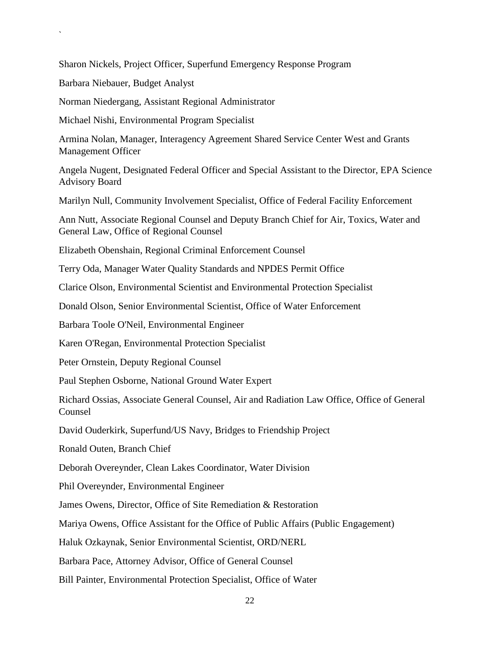Sharon Nickels, Project Officer, Superfund Emergency Response Program

Barbara Niebauer, Budget Analyst

`

Norman Niedergang, Assistant Regional Administrator

Michael Nishi, Environmental Program Specialist

Armina Nolan, Manager, Interagency Agreement Shared Service Center West and Grants Management Officer

Angela Nugent, Designated Federal Officer and Special Assistant to the Director, EPA Science Advisory Board

Marilyn Null, Community Involvement Specialist, Office of Federal Facility Enforcement

Ann Nutt, Associate Regional Counsel and Deputy Branch Chief for Air, Toxics, Water and General Law, Office of Regional Counsel

Elizabeth Obenshain, Regional Criminal Enforcement Counsel

Terry Oda, Manager Water Quality Standards and NPDES Permit Office

Clarice Olson, Environmental Scientist and Environmental Protection Specialist

Donald Olson, Senior Environmental Scientist, Office of Water Enforcement

Barbara Toole O'Neil, Environmental Engineer

Karen O'Regan, Environmental Protection Specialist

Peter Ornstein, Deputy Regional Counsel

Paul Stephen Osborne, National Ground Water Expert

Richard Ossias, Associate General Counsel, Air and Radiation Law Office, Office of General Counsel

David Ouderkirk, Superfund/US Navy, Bridges to Friendship Project

Ronald Outen, Branch Chief

Deborah Overeynder, Clean Lakes Coordinator, Water Division

Phil Overeynder, Environmental Engineer

James Owens, Director, Office of Site Remediation & Restoration

Mariya Owens, Office Assistant for the Office of Public Affairs (Public Engagement)

Haluk Ozkaynak, Senior Environmental Scientist, ORD/NERL

Barbara Pace, Attorney Advisor, Office of General Counsel

Bill Painter, Environmental Protection Specialist, Office of Water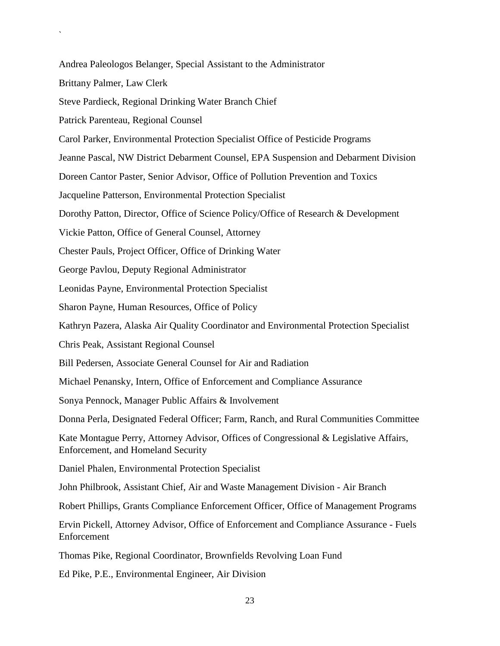Andrea Paleologos Belanger, Special Assistant to the Administrator

Brittany Palmer, Law Clerk

`

Steve Pardieck, Regional Drinking Water Branch Chief

Patrick Parenteau, Regional Counsel

Carol Parker, Environmental Protection Specialist Office of Pesticide Programs

Jeanne Pascal, NW District Debarment Counsel, EPA Suspension and Debarment Division

Doreen Cantor Paster, Senior Advisor, Office of Pollution Prevention and Toxics

Jacqueline Patterson, Environmental Protection Specialist

Dorothy Patton, Director, Office of Science Policy/Office of Research & Development

Vickie Patton, Office of General Counsel, Attorney

Chester Pauls, Project Officer, Office of Drinking Water

George Pavlou, Deputy Regional Administrator

Leonidas Payne, Environmental Protection Specialist

Sharon Payne, Human Resources, Office of Policy

Kathryn Pazera, Alaska Air Quality Coordinator and Environmental Protection Specialist

Chris Peak, Assistant Regional Counsel

Bill Pedersen, Associate General Counsel for Air and Radiation

Michael Penansky, Intern, Office of Enforcement and Compliance Assurance

Sonya Pennock, Manager Public Affairs & Involvement

Donna Perla, Designated Federal Officer; Farm, Ranch, and Rural Communities Committee

Kate Montague Perry, Attorney Advisor, Offices of Congressional & Legislative Affairs, Enforcement, and Homeland Security

Daniel Phalen, Environmental Protection Specialist

John Philbrook, Assistant Chief, Air and Waste Management Division - Air Branch

Robert Phillips, Grants Compliance Enforcement Officer, Office of Management Programs

Ervin Pickell, Attorney Advisor, Office of Enforcement and Compliance Assurance - Fuels Enforcement

Thomas Pike, Regional Coordinator, Brownfields Revolving Loan Fund

Ed Pike, P.E., Environmental Engineer, Air Division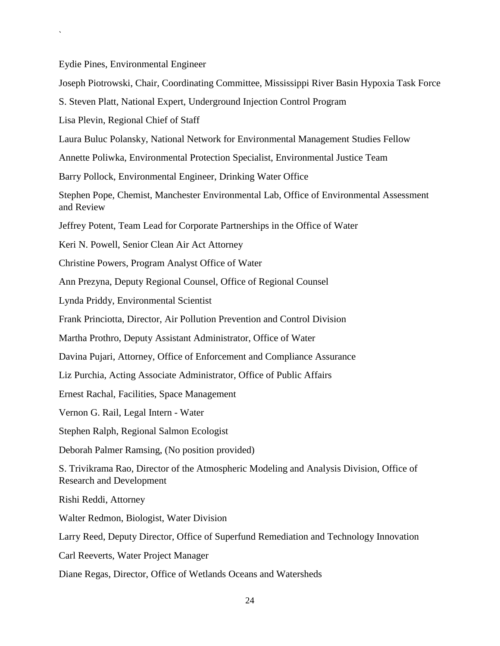Eydie Pines, Environmental Engineer

`

Joseph Piotrowski, Chair, Coordinating Committee, Mississippi River Basin Hypoxia Task Force

S. Steven Platt, National Expert, Underground Injection Control Program

Lisa Plevin, Regional Chief of Staff

Laura Buluc Polansky, National Network for Environmental Management Studies Fellow

Annette Poliwka, Environmental Protection Specialist, Environmental Justice Team

Barry Pollock, Environmental Engineer, Drinking Water Office

Stephen Pope, Chemist, Manchester Environmental Lab, Office of Environmental Assessment and Review

Jeffrey Potent, Team Lead for Corporate Partnerships in the Office of Water

Keri N. Powell, Senior Clean Air Act Attorney

Christine Powers, Program Analyst Office of Water

Ann Prezyna, Deputy Regional Counsel, Office of Regional Counsel

Lynda Priddy, Environmental Scientist

Frank Princiotta, Director, Air Pollution Prevention and Control Division

Martha Prothro, Deputy Assistant Administrator, Office of Water

Davina Pujari, Attorney, Office of Enforcement and Compliance Assurance

Liz Purchia, Acting Associate Administrator, Office of Public Affairs

Ernest Rachal, Facilities, Space Management

Vernon G. Rail, Legal Intern - Water

Stephen Ralph, Regional Salmon Ecologist

Deborah Palmer Ramsing, (No position provided)

S. Trivikrama Rao, Director of the Atmospheric Modeling and Analysis Division, Office of Research and Development

Rishi Reddi, Attorney

Walter Redmon, Biologist, Water Division

Larry Reed, Deputy Director, Office of Superfund Remediation and Technology Innovation

Carl Reeverts, Water Project Manager

Diane Regas, Director, Office of Wetlands Oceans and Watersheds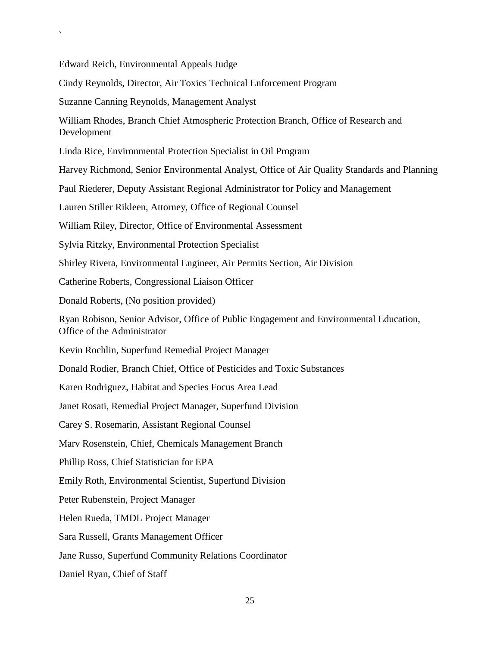Edward Reich, Environmental Appeals Judge

`

Cindy Reynolds, Director, Air Toxics Technical Enforcement Program

Suzanne Canning Reynolds, Management Analyst

William Rhodes, Branch Chief Atmospheric Protection Branch, Office of Research and Development

Linda Rice, Environmental Protection Specialist in Oil Program

Harvey Richmond, Senior Environmental Analyst, Office of Air Quality Standards and Planning

Paul Riederer, Deputy Assistant Regional Administrator for Policy and Management

Lauren Stiller Rikleen, Attorney, Office of Regional Counsel

William Riley, Director, Office of Environmental Assessment

Sylvia Ritzky, Environmental Protection Specialist

Shirley Rivera, Environmental Engineer, Air Permits Section, Air Division

Catherine Roberts, Congressional Liaison Officer

Donald Roberts, (No position provided)

Ryan Robison, Senior Advisor, Office of Public Engagement and Environmental Education, Office of the Administrator

Kevin Rochlin, Superfund Remedial Project Manager

Donald Rodier, Branch Chief, Office of Pesticides and Toxic Substances

Karen Rodriguez, Habitat and Species Focus Area Lead

Janet Rosati, Remedial Project Manager, Superfund Division

Carey S. Rosemarin, Assistant Regional Counsel

Marv Rosenstein, Chief, Chemicals Management Branch

Phillip Ross, Chief Statistician for EPA

Emily Roth, Environmental Scientist, Superfund Division

Peter Rubenstein, Project Manager

Helen Rueda, TMDL Project Manager

Sara Russell, Grants Management Officer

Jane Russo, Superfund Community Relations Coordinator

Daniel Ryan, Chief of Staff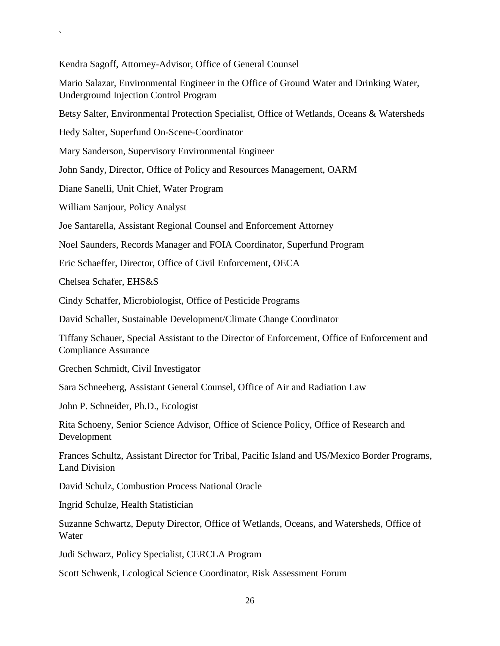Kendra Sagoff, Attorney-Advisor, Office of General Counsel

Mario Salazar, Environmental Engineer in the Office of Ground Water and Drinking Water, Underground Injection Control Program

Betsy Salter, Environmental Protection Specialist, Office of Wetlands, Oceans & Watersheds

Hedy Salter, Superfund On-Scene-Coordinator

Mary Sanderson, Supervisory Environmental Engineer

John Sandy, Director, Office of Policy and Resources Management, OARM

Diane Sanelli, Unit Chief, Water Program

William Sanjour, Policy Analyst

`

Joe Santarella, Assistant Regional Counsel and Enforcement Attorney

Noel Saunders, Records Manager and FOIA Coordinator, Superfund Program

Eric Schaeffer, Director, Office of Civil Enforcement, OECA

Chelsea Schafer, EHS&S

Cindy Schaffer, Microbiologist, Office of Pesticide Programs

David Schaller, Sustainable Development/Climate Change Coordinator

Tiffany Schauer, Special Assistant to the Director of Enforcement, Office of Enforcement and Compliance Assurance

Grechen Schmidt, Civil Investigator

Sara Schneeberg, Assistant General Counsel, Office of Air and Radiation Law

John P. Schneider, Ph.D., Ecologist

Rita Schoeny, Senior Science Advisor, Office of Science Policy, Office of Research and Development

Frances Schultz, Assistant Director for Tribal, Pacific Island and US/Mexico Border Programs, Land Division

David Schulz, Combustion Process National Oracle

Ingrid Schulze, Health Statistician

Suzanne Schwartz, Deputy Director, Office of Wetlands, Oceans, and Watersheds, Office of Water

Judi Schwarz, Policy Specialist, CERCLA Program

Scott Schwenk, Ecological Science Coordinator, Risk Assessment Forum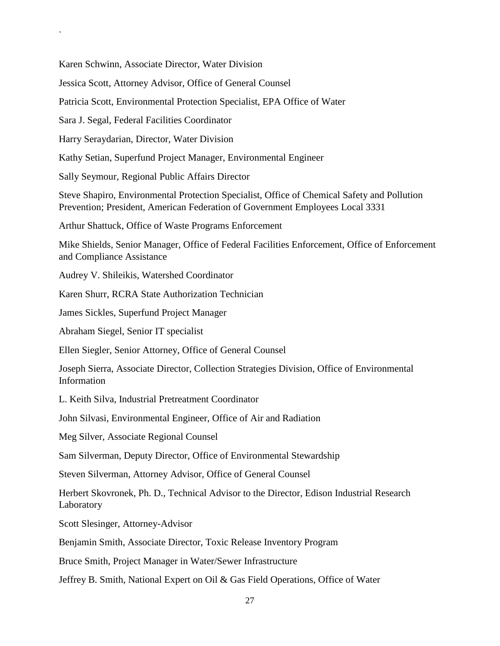Karen Schwinn, Associate Director, Water Division

Jessica Scott, Attorney Advisor, Office of General Counsel

Patricia Scott, Environmental Protection Specialist, EPA Office of Water

Sara J. Segal, Federal Facilities Coordinator

`

Harry Seraydarian, Director, Water Division

Kathy Setian, Superfund Project Manager, Environmental Engineer

Sally Seymour, Regional Public Affairs Director

Steve Shapiro, Environmental Protection Specialist, Office of Chemical Safety and Pollution Prevention; President, American Federation of Government Employees Local 3331

Arthur Shattuck, Office of Waste Programs Enforcement

Mike Shields, Senior Manager, Office of Federal Facilities Enforcement, Office of Enforcement and Compliance Assistance

Audrey V. Shileikis, Watershed Coordinator

Karen Shurr, RCRA State Authorization Technician

James Sickles, Superfund Project Manager

Abraham Siegel, Senior IT specialist

Ellen Siegler, Senior Attorney, Office of General Counsel

Joseph Sierra, Associate Director, Collection Strategies Division, Office of Environmental Information

L. Keith Silva, Industrial Pretreatment Coordinator

John Silvasi, Environmental Engineer, Office of Air and Radiation

Meg Silver, Associate Regional Counsel

Sam Silverman, Deputy Director, Office of Environmental Stewardship

Steven Silverman, Attorney Advisor, Office of General Counsel

Herbert Skovronek, Ph. D., Technical Advisor to the Director, Edison Industrial Research Laboratory

Scott Slesinger, Attorney-Advisor

Benjamin Smith, Associate Director, Toxic Release Inventory Program

Bruce Smith, Project Manager in Water/Sewer Infrastructure

Jeffrey B. Smith, National Expert on Oil & Gas Field Operations, Office of Water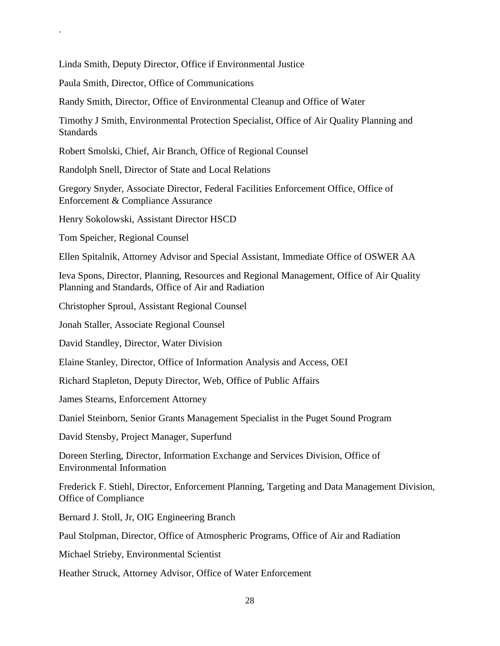Linda Smith, Deputy Director, Office if Environmental Justice

Paula Smith, Director, Office of Communications

Randy Smith, Director, Office of Environmental Cleanup and Office of Water

Timothy J Smith, Environmental Protection Specialist, Office of Air Quality Planning and Standards

Robert Smolski, Chief, Air Branch, Office of Regional Counsel

Randolph Snell, Director of State and Local Relations

Gregory Snyder, Associate Director, Federal Facilities Enforcement Office, Office of Enforcement & Compliance Assurance

Henry Sokolowski, Assistant Director HSCD

Tom Speicher, Regional Counsel

`

Ellen Spitalnik, Attorney Advisor and Special Assistant, Immediate Office of OSWER AA

Ieva Spons, Director, Planning, Resources and Regional Management, Office of Air Quality Planning and Standards, Office of Air and Radiation

Christopher Sproul, Assistant Regional Counsel

Jonah Staller, Associate Regional Counsel

David Standley, Director, Water Division

Elaine Stanley, Director, Office of Information Analysis and Access, OEI

Richard Stapleton, Deputy Director, Web, Office of Public Affairs

James Stearns, Enforcement Attorney

Daniel Steinborn, Senior Grants Management Specialist in the Puget Sound Program

David Stensby, Project Manager, Superfund

Doreen Sterling, Director, Information Exchange and Services Division, Office of Environmental Information

Frederick F. Stiehl, Director, Enforcement Planning, Targeting and Data Management Division, Office of Compliance

Bernard J. Stoll, Jr, OIG Engineering Branch

Paul Stolpman, Director, Office of Atmospheric Programs, Office of Air and Radiation

Michael Strieby, Environmental Scientist

Heather Struck, Attorney Advisor, Office of Water Enforcement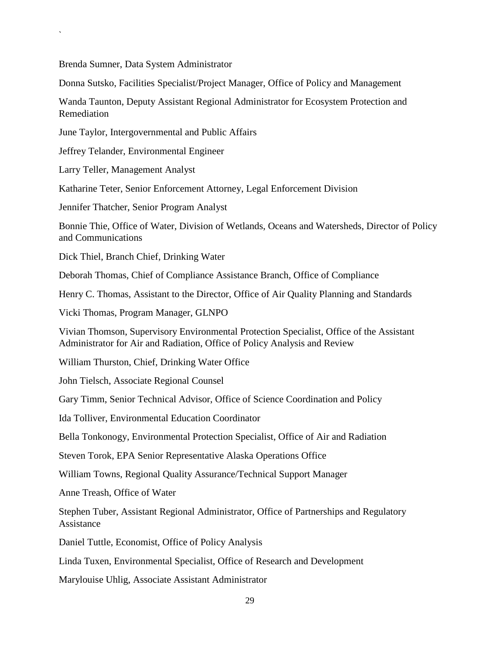Brenda Sumner, Data System Administrator

`

Donna Sutsko, Facilities Specialist/Project Manager, Office of Policy and Management

Wanda Taunton, Deputy Assistant Regional Administrator for Ecosystem Protection and Remediation

June Taylor, Intergovernmental and Public Affairs

Jeffrey Telander, Environmental Engineer

Larry Teller, Management Analyst

Katharine Teter, Senior Enforcement Attorney, Legal Enforcement Division

Jennifer Thatcher, Senior Program Analyst

Bonnie Thie, Office of Water, Division of Wetlands, Oceans and Watersheds, Director of Policy and Communications

Dick Thiel, Branch Chief, Drinking Water

Deborah Thomas, Chief of Compliance Assistance Branch, Office of Compliance

Henry C. Thomas, Assistant to the Director, Office of Air Quality Planning and Standards

Vicki Thomas, Program Manager, GLNPO

Vivian Thomson, Supervisory Environmental Protection Specialist, Office of the Assistant Administrator for Air and Radiation, Office of Policy Analysis and Review

William Thurston, Chief, Drinking Water Office

John Tielsch, Associate Regional Counsel

Gary Timm, Senior Technical Advisor, Office of Science Coordination and Policy

Ida Tolliver, Environmental Education Coordinator

Bella Tonkonogy, Environmental Protection Specialist, Office of Air and Radiation

Steven Torok, EPA Senior Representative Alaska Operations Office

William Towns, Regional Quality Assurance/Technical Support Manager

Anne Treash, Office of Water

Stephen Tuber, Assistant Regional Administrator, Office of Partnerships and Regulatory Assistance

Daniel Tuttle, Economist, Office of Policy Analysis

Linda Tuxen, Environmental Specialist, Office of Research and Development

Marylouise Uhlig, Associate Assistant Administrator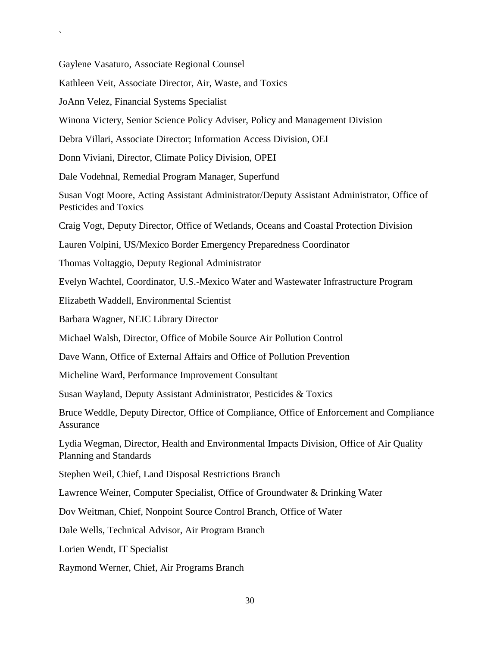Gaylene Vasaturo, Associate Regional Counsel

Kathleen Veit, Associate Director, Air, Waste, and Toxics

JoAnn Velez, Financial Systems Specialist

`

Winona Victery, Senior Science Policy Adviser, Policy and Management Division

Debra Villari, Associate Director; Information Access Division, OEI

Donn Viviani, Director, Climate Policy Division, OPEI

Dale Vodehnal, Remedial Program Manager, Superfund

Susan Vogt Moore, Acting Assistant Administrator/Deputy Assistant Administrator, Office of Pesticides and Toxics

Craig Vogt, Deputy Director, Office of Wetlands, Oceans and Coastal Protection Division

Lauren Volpini, US/Mexico Border Emergency Preparedness Coordinator

Thomas Voltaggio, Deputy Regional Administrator

Evelyn Wachtel, Coordinator, U.S.-Mexico Water and Wastewater Infrastructure Program

Elizabeth Waddell, Environmental Scientist

Barbara Wagner, NEIC Library Director

Michael Walsh, Director, Office of Mobile Source Air Pollution Control

Dave Wann, Office of External Affairs and Office of Pollution Prevention

Micheline Ward, Performance Improvement Consultant

Susan Wayland, Deputy Assistant Administrator, Pesticides & Toxics

Bruce Weddle, Deputy Director, Office of Compliance, Office of Enforcement and Compliance Assurance

Lydia Wegman, Director, Health and Environmental Impacts Division, Office of Air Quality Planning and Standards

Stephen Weil, Chief, Land Disposal Restrictions Branch

Lawrence Weiner, Computer Specialist, Office of Groundwater & Drinking Water

Dov Weitman, Chief, Nonpoint Source Control Branch, Office of Water

Dale Wells, Technical Advisor, Air Program Branch

Lorien Wendt, IT Specialist

Raymond Werner, Chief, Air Programs Branch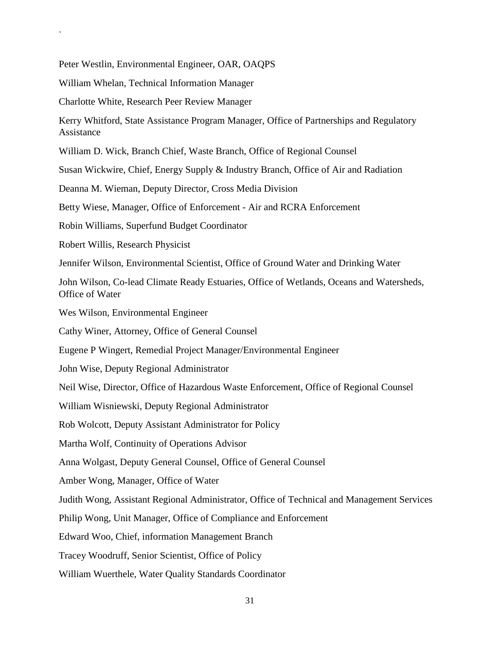Peter Westlin, Environmental Engineer, OAR, OAQPS

William Whelan, Technical Information Manager

`

Charlotte White, Research Peer Review Manager

Kerry Whitford, State Assistance Program Manager, Office of Partnerships and Regulatory Assistance

William D. Wick, Branch Chief, Waste Branch, Office of Regional Counsel

Susan Wickwire, Chief, Energy Supply & Industry Branch, Office of Air and Radiation

Deanna M. Wieman, Deputy Director, Cross Media Division

Betty Wiese, Manager, Office of Enforcement - Air and RCRA Enforcement

Robin Williams, Superfund Budget Coordinator

Robert Willis, Research Physicist

Jennifer Wilson, Environmental Scientist, Office of Ground Water and Drinking Water

John Wilson, Co-lead Climate Ready Estuaries, Office of Wetlands, Oceans and Watersheds, Office of Water

Wes Wilson, Environmental Engineer

Cathy Winer, Attorney, Office of General Counsel

Eugene P Wingert, Remedial Project Manager/Environmental Engineer

John Wise, Deputy Regional Administrator

Neil Wise, Director, Office of Hazardous Waste Enforcement, Office of Regional Counsel

William Wisniewski, Deputy Regional Administrator

Rob Wolcott, Deputy Assistant Administrator for Policy

Martha Wolf, Continuity of Operations Advisor

Anna Wolgast, Deputy General Counsel, Office of General Counsel

Amber Wong, Manager, Office of Water

Judith Wong, Assistant Regional Administrator, Office of Technical and Management Services

Philip Wong, Unit Manager, Office of Compliance and Enforcement

Edward Woo, Chief, information Management Branch

Tracey Woodruff, Senior Scientist, Office of Policy

William Wuerthele, Water Quality Standards Coordinator